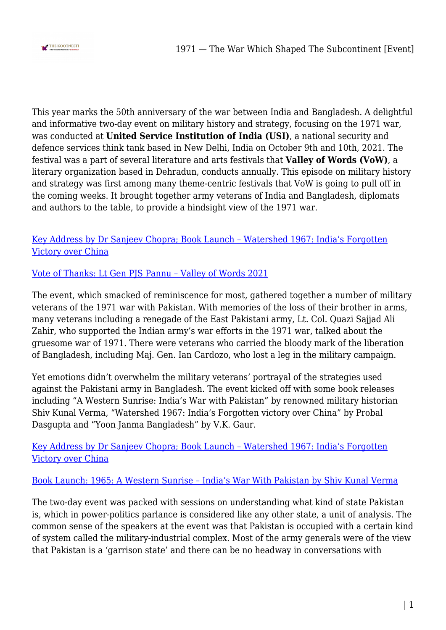

This year marks the 50th anniversary of the war between India and Bangladesh. A delightful and informative two-day event on military history and strategy, focusing on the 1971 war, was conducted at **United Service Institution of India (USI)**, a national security and defence services think tank based in New Delhi, India on October 9th and 10th, 2021. The festival was a part of several literature and arts festivals that **Valley of Words (VoW)**, a literary organization based in Dehradun, conducts annually. This episode on military history and strategy was first among many theme-centric festivals that VoW is going to pull off in the coming weeks. It brought together army veterans of India and Bangladesh, diplomats and authors to the table, to provide a hindsight view of the 1971 war.

[Key Address by Dr Sanjeev Chopra; Book Launch – Watershed 1967: India's Forgotten](https://www.youtube.com/watch?v=sphRy1jrwU0&list=PLwxh3VL-4b6uFk1wf_EdXamume8-cLXot&index=26) [Victory over China](https://www.youtube.com/watch?v=sphRy1jrwU0&list=PLwxh3VL-4b6uFk1wf_EdXamume8-cLXot&index=26)

[Vote of Thanks: Lt Gen PJS Pannu – Valley of Words 2021](https://www.youtube.com/watch?v=UST5bwYcNHM&list=PLwxh3VL-4b6uFk1wf_EdXamume8-cLXot&index=25)

The event, which smacked of reminiscence for most, gathered together a number of military veterans of the 1971 war with Pakistan. With memories of the loss of their brother in arms, many veterans including a renegade of the East Pakistani army, Lt. Col. Quazi Sajjad Ali Zahir, who supported the Indian army's war efforts in the 1971 war, talked about the gruesome war of 1971. There were veterans who carried the bloody mark of the liberation of Bangladesh, including Maj. Gen. Ian Cardozo, who lost a leg in the military campaign.

Yet emotions didn't overwhelm the military veterans' portrayal of the strategies used against the Pakistani army in Bangladesh. The event kicked off with some book releases including "A Western Sunrise: India's War with Pakistan" by renowned military historian Shiv Kunal Verma, "Watershed 1967: India's Forgotten victory over China" by Probal Dasgupta and "Yoon Janma Bangladesh" by V.K. Gaur.

[Key Address by Dr Sanjeev Chopra; Book Launch – Watershed 1967: India's Forgotten](https://www.youtube.com/watch?v=sphRy1jrwU0&list=PLwxh3VL-4b6uFk1wf_EdXamume8-cLXot&index=26) [Victory over China](https://www.youtube.com/watch?v=sphRy1jrwU0&list=PLwxh3VL-4b6uFk1wf_EdXamume8-cLXot&index=26)

[Book Launch: 1965: A Western Sunrise – India's War With Pakistan by Shiv Kunal Verma](https://www.youtube.com/watch?v=1UQF1XNm5v0&list=PLwxh3VL-4b6uFk1wf_EdXamume8-cLXot&index=24)

The two-day event was packed with sessions on understanding what kind of state Pakistan is, which in power-politics parlance is considered like any other state, a unit of analysis. The common sense of the speakers at the event was that Pakistan is occupied with a certain kind of system called the military-industrial complex. Most of the army generals were of the view that Pakistan is a 'garrison state' and there can be no headway in conversations with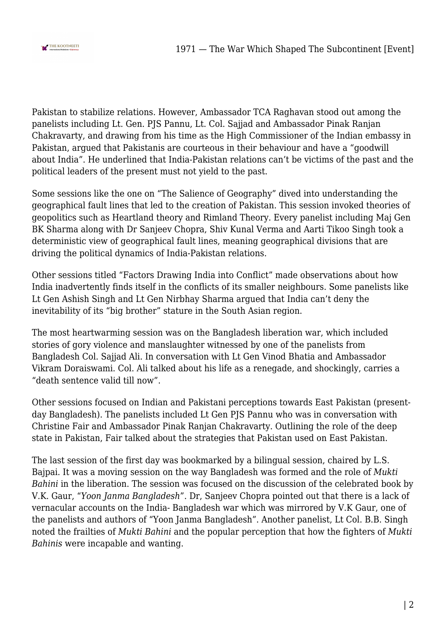

Pakistan to stabilize relations. However, Ambassador TCA Raghavan stood out among the panelists including Lt. Gen. PJS Pannu, Lt. Col. Sajjad and Ambassador Pinak Ranjan Chakravarty, and drawing from his time as the High Commissioner of the Indian embassy in Pakistan, argued that Pakistanis are courteous in their behaviour and have a "goodwill about India". He underlined that India-Pakistan relations can't be victims of the past and the political leaders of the present must not yield to the past.

Some sessions like the one on "The Salience of Geography" dived into understanding the geographical fault lines that led to the creation of Pakistan. This session invoked theories of geopolitics such as Heartland theory and Rimland Theory. Every panelist including Maj Gen BK Sharma along with Dr Sanjeev Chopra, Shiv Kunal Verma and Aarti Tikoo Singh took a deterministic view of geographical fault lines, meaning geographical divisions that are driving the political dynamics of India-Pakistan relations.

Other sessions titled "Factors Drawing India into Conflict" made observations about how India inadvertently finds itself in the conflicts of its smaller neighbours. Some panelists like Lt Gen Ashish Singh and Lt Gen Nirbhay Sharma argued that India can't deny the inevitability of its "big brother" stature in the South Asian region.

The most heartwarming session was on the Bangladesh liberation war, which included stories of gory violence and manslaughter witnessed by one of the panelists from Bangladesh Col. Sajjad Ali. In conversation with Lt Gen Vinod Bhatia and Ambassador Vikram Doraiswami. Col. Ali talked about his life as a renegade, and shockingly, carries a "death sentence valid till now".

Other sessions focused on Indian and Pakistani perceptions towards East Pakistan (presentday Bangladesh). The panelists included Lt Gen PJS Pannu who was in conversation with Christine Fair and Ambassador Pinak Ranjan Chakravarty. Outlining the role of the deep state in Pakistan, Fair talked about the strategies that Pakistan used on East Pakistan.

The last session of the first day was bookmarked by a bilingual session, chaired by L.S. Bajpai. It was a moving session on the way Bangladesh was formed and the role of *Mukti Bahini* in the liberation. The session was focused on the discussion of the celebrated book by V.K. Gaur, "*Yoon Janma Bangladesh*". Dr, Sanjeev Chopra pointed out that there is a lack of vernacular accounts on the India- Bangladesh war which was mirrored by V.K Gaur, one of the panelists and authors of "Yoon Janma Bangladesh". Another panelist, Lt Col. B.B. Singh noted the frailties of *Mukti Bahini* and the popular perception that how the fighters of *Mukti Bahinis* were incapable and wanting.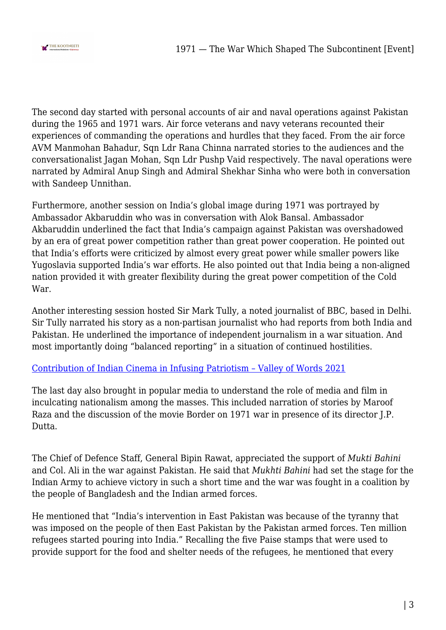

The second day started with personal accounts of air and naval operations against Pakistan during the 1965 and 1971 wars. Air force veterans and navy veterans recounted their experiences of commanding the operations and hurdles that they faced. From the air force AVM Manmohan Bahadur, Sqn Ldr Rana Chinna narrated stories to the audiences and the conversationalist Jagan Mohan, Sqn Ldr Pushp Vaid respectively. The naval operations were narrated by Admiral Anup Singh and Admiral Shekhar Sinha who were both in conversation with Sandeep Unnithan.

Furthermore, another session on India's global image during 1971 was portrayed by Ambassador Akbaruddin who was in conversation with Alok Bansal. Ambassador Akbaruddin underlined the fact that India's campaign against Pakistan was overshadowed by an era of great power competition rather than great power cooperation. He pointed out that India's efforts were criticized by almost every great power while smaller powers like Yugoslavia supported India's war efforts. He also pointed out that India being a non-aligned nation provided it with greater flexibility during the great power competition of the Cold War.

Another interesting session hosted Sir Mark Tully, a noted journalist of BBC, based in Delhi. Sir Tully narrated his story as a non-partisan journalist who had reports from both India and Pakistan. He underlined the importance of independent journalism in a war situation. And most importantly doing "balanced reporting" in a situation of continued hostilities.

## [Contribution of Indian Cinema in Infusing Patriotism – Valley of Words 2021](https://www.youtube.com/watch?v=YqwOh4HYfSs&list=PLwxh3VL-4b6uFk1wf_EdXamume8-cLXot&index=3)

The last day also brought in popular media to understand the role of media and film in inculcating nationalism among the masses. This included narration of stories by Maroof Raza and the discussion of the movie Border on 1971 war in presence of its director J.P. Dutta.

The Chief of Defence Staff, General Bipin Rawat, appreciated the support of *Mukti Bahini* and Col. Ali in the war against Pakistan. He said that *Mukhti Bahini* had set the stage for the Indian Army to achieve victory in such a short time and the war was fought in a coalition by the people of Bangladesh and the Indian armed forces.

He mentioned that "India's intervention in East Pakistan was because of the tyranny that was imposed on the people of then East Pakistan by the Pakistan armed forces. Ten million refugees started pouring into India." Recalling the five Paise stamps that were used to provide support for the food and shelter needs of the refugees, he mentioned that every